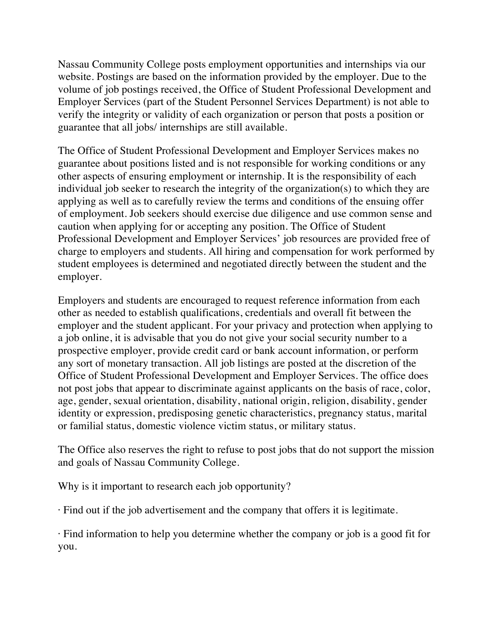Nassau Community College posts employment opportunities and internships via our website. Postings are based on the information provided by the employer. Due to the volume of job postings received, the Office of Student Professional Development and Employer Services (part of the Student Personnel Services Department) is not able to verify the integrity or validity of each organization or person that posts a position or guarantee that all jobs/ internships are still available.

The Office of Student Professional Development and Employer Services makes no guarantee about positions listed and is not responsible for working conditions or any other aspects of ensuring employment or internship. It is the responsibility of each individual job seeker to research the integrity of the organization(s) to which they are applying as well as to carefully review the terms and conditions of the ensuing offer of employment. Job seekers should exercise due diligence and use common sense and caution when applying for or accepting any position. The Office of Student Professional Development and Employer Services' job resources are provided free of charge to employers and students. All hiring and compensation for work performed by student employees is determined and negotiated directly between the student and the employer.

Employers and students are encouraged to request reference information from each other as needed to establish qualifications, credentials and overall fit between the employer and the student applicant. For your privacy and protection when applying to a job online, it is advisable that you do not give your social security number to a prospective employer, provide credit card or bank account information, or perform any sort of monetary transaction. All job listings are posted at the discretion of the Office of Student Professional Development and Employer Services. The office does not post jobs that appear to discriminate against applicants on the basis of race, color, age, gender, sexual orientation, disability, national origin, religion, disability, gender identity or expression, predisposing genetic characteristics, pregnancy status, marital or familial status, domestic violence victim status, or military status.

The Office also reserves the right to refuse to post jobs that do not support the mission and goals of Nassau Community College.

Why is it important to research each job opportunity?

· Find out if the job advertisement and the company that offers it is legitimate.

· Find information to help you determine whether the company or job is a good fit for you.